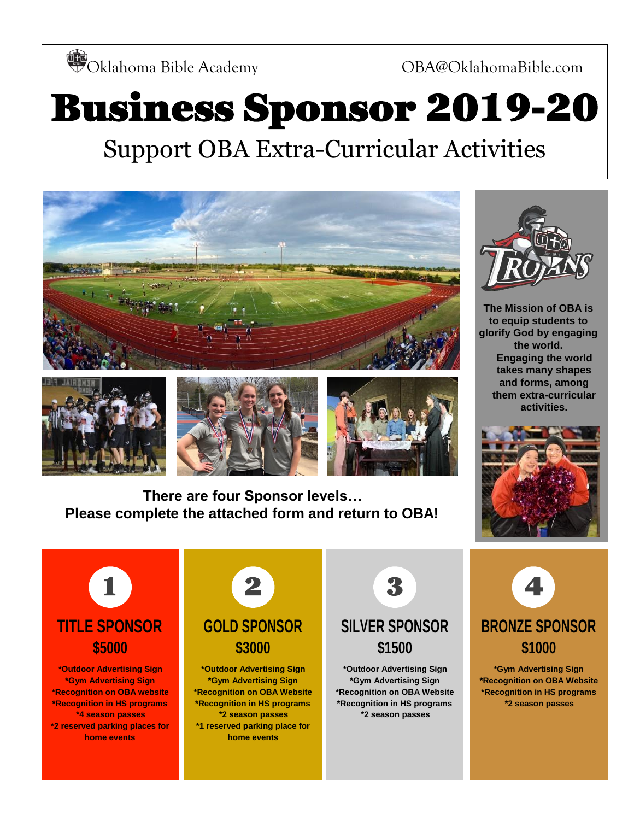Oklahoma Bible Academy OBA@OklahomaBible.com

## Business Sponsor 2019-20 Support OBA Extra-Curricular Activities





**There are four Sponsor levels… Please complete the attached form and return to OBA!**



**The Mission of OBA is to equip students to glorify God by engaging the world. Engaging the world takes many shapes and forms, among them extra-curricular activities.**





**\*Outdoor Advertising Sign \*Gym Advertising Sign \*Recognition on OBA website \*Recognition in HS programs \*4 season passes \*2 reserved parking places for home events**



**\*Gym Advertising Sign \*Recognition on OBA Website \*Recognition in HS programs \*2 season passes \*1 reserved parking place for home events**



**\*Outdoor Advertising Sign \*Gym Advertising Sign \*Recognition on OBA Website \*Recognition in HS programs \*2 season passes**



**\*Gym Advertising Sign \*Recognition on OBA Website \*Recognition in HS programs \*2 season passes**